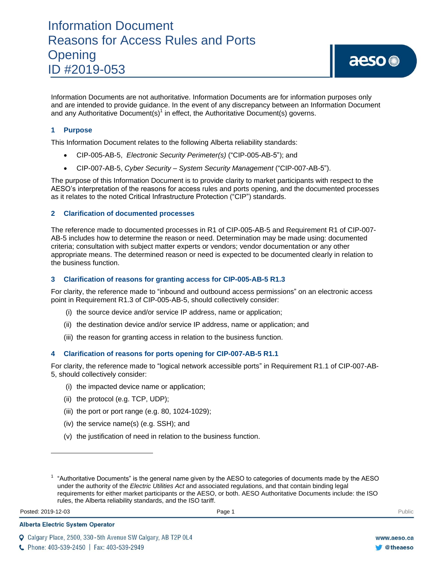# Information Document Reasons for Access Rules and Ports **Opening** ID #2019-053

Information Documents are not authoritative. Information Documents are for information purposes only and are intended to provide guidance. In the event of any discrepancy between an Information Document and any Authoritative Document(s)<sup>1</sup> in effect, the Authoritative Document(s) governs.

# **1 Purpose**

This Information Document relates to the following Alberta reliability standards:

- CIP-005-AB-5, *Electronic Security Perimeter(s)* ("CIP-005-AB-5"); and
- CIP-007-AB-5, *Cyber Security – System Security Management* ("CIP-007-AB-5").

The purpose of this Information Document is to provide clarity to market participants with respect to the AESO's interpretation of the reasons for access rules and ports opening, and the documented processes as it relates to the noted Critical Infrastructure Protection ("CIP") standards.

## **2 Clarification of documented processes**

The reference made to documented processes in R1 of CIP-005-AB-5 and Requirement R1 of CIP-007- AB-5 includes how to determine the reason or need. Determination may be made using: documented criteria; consultation with subject matter experts or vendors; vendor documentation or any other appropriate means. The determined reason or need is expected to be documented clearly in relation to the business function.

#### **3 Clarification of reasons for granting access for CIP-005-AB-5 R1.3**

For clarity, the reference made to "inbound and outbound access permissions" on an electronic access point in Requirement R1.3 of CIP-005-AB-5, should collectively consider:

- (i) the source device and/or service IP address, name or application;
- (ii) the destination device and/or service IP address, name or application; and
- (iii) the reason for granting access in relation to the business function.

## **4 Clarification of reasons for ports opening for CIP-007-AB-5 R1.1**

For clarity, the reference made to "logical network accessible ports" in Requirement R1.1 of CIP-007-AB-5, should collectively consider:

- (i) the impacted device name or application;
- (ii) the protocol (e.g. TCP, UDP);
- (iii) the port or port range (e.g. 80, 1024-1029);
- (iv) the service name(s) (e.g. SSH); and
- (v) the justification of need in relation to the business function.

Posted: 2019-12-03 Page 1 Public Posted: 2019-12-03 Public Public Public Public Public Public Public Public Public Public Public Public Public Public Public Public Public Public Public Public Public Public Public Public Pu

 $\overline{\phantom{a}}$ 

Q Calgary Place, 2500, 330-5th Avenue SW Calgary, AB T2P 0L4

**Alberta Electric System Operator** 

 $1$  "Authoritative Documents" is the general name given by the AESO to categories of documents made by the AESO under the authority of the *Electric Utilities Act* and associated regulations, and that contain binding legal requirements for either market participants or the AESO, or both. AESO Authoritative Documents include: the ISO rules, the Alberta reliability standards, and the ISO tariff.